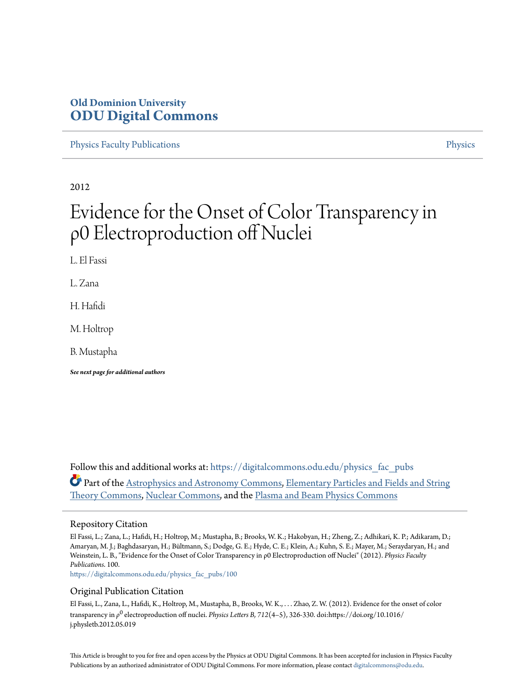# **Old Dominion University [ODU Digital Commons](https://digitalcommons.odu.edu?utm_source=digitalcommons.odu.edu%2Fphysics_fac_pubs%2F100&utm_medium=PDF&utm_campaign=PDFCoverPages)**

[Physics Faculty Publications](https://digitalcommons.odu.edu/physics_fac_pubs?utm_source=digitalcommons.odu.edu%2Fphysics_fac_pubs%2F100&utm_medium=PDF&utm_campaign=PDFCoverPages) [Physics](https://digitalcommons.odu.edu/physics?utm_source=digitalcommons.odu.edu%2Fphysics_fac_pubs%2F100&utm_medium=PDF&utm_campaign=PDFCoverPages)

2012

# Evidence for the Onset of Color Transparency in ρ0 Electroproduction off Nuclei

L. El Fassi

L. Zana

H. Hafidi

M. Holtrop

B. Mustapha

*See next page for additional authors*

Follow this and additional works at: [https://digitalcommons.odu.edu/physics\\_fac\\_pubs](https://digitalcommons.odu.edu/physics_fac_pubs?utm_source=digitalcommons.odu.edu%2Fphysics_fac_pubs%2F100&utm_medium=PDF&utm_campaign=PDFCoverPages) Part of the [Astrophysics and Astronomy Commons,](http://network.bepress.com/hgg/discipline/123?utm_source=digitalcommons.odu.edu%2Fphysics_fac_pubs%2F100&utm_medium=PDF&utm_campaign=PDFCoverPages) [Elementary Particles and Fields and String](http://network.bepress.com/hgg/discipline/199?utm_source=digitalcommons.odu.edu%2Fphysics_fac_pubs%2F100&utm_medium=PDF&utm_campaign=PDFCoverPages) [Theory Commons,](http://network.bepress.com/hgg/discipline/199?utm_source=digitalcommons.odu.edu%2Fphysics_fac_pubs%2F100&utm_medium=PDF&utm_campaign=PDFCoverPages) [Nuclear Commons](http://network.bepress.com/hgg/discipline/203?utm_source=digitalcommons.odu.edu%2Fphysics_fac_pubs%2F100&utm_medium=PDF&utm_campaign=PDFCoverPages), and the [Plasma and Beam Physics Commons](http://network.bepress.com/hgg/discipline/205?utm_source=digitalcommons.odu.edu%2Fphysics_fac_pubs%2F100&utm_medium=PDF&utm_campaign=PDFCoverPages)

## Repository Citation

El Fassi, L.; Zana, L.; Hafidi, H.; Holtrop, M.; Mustapha, B.; Brooks, W. K.; Hakobyan, H.; Zheng, Z.; Adhikari, K. P.; Adikaram, D.; Amaryan, M. J.; Baghdasaryan, H.; Bültmann, S.; Dodge, G. E.; Hyde, C. E.; Klein, A.; Kuhn, S. E.; Mayer, M.; Seraydaryan, H.; and Weinstein, L. B., "Evidence for the Onset of Color Transparency in ρ0 Electroproduction off Nuclei" (2012). *Physics Faculty Publications*. 100.

[https://digitalcommons.odu.edu/physics\\_fac\\_pubs/100](https://digitalcommons.odu.edu/physics_fac_pubs/100?utm_source=digitalcommons.odu.edu%2Fphysics_fac_pubs%2F100&utm_medium=PDF&utm_campaign=PDFCoverPages)

## Original Publication Citation

El Fassi, L., Zana, L., Hafidi, K., Holtrop, M., Mustapha, B., Brooks, W. K., . . . Zhao, Z. W. (2012). Evidence for the onset of color transparency in ρ<sup>0</sup> electroproduction off nuclei. *Physics Letters B, 712*(4–5), 326-330. doi:https://doi.org/10.1016/ j.physletb.2012.05.019

This Article is brought to you for free and open access by the Physics at ODU Digital Commons. It has been accepted for inclusion in Physics Faculty Publications by an authorized administrator of ODU Digital Commons. For more information, please contact [digitalcommons@odu.edu](mailto:digitalcommons@odu.edu).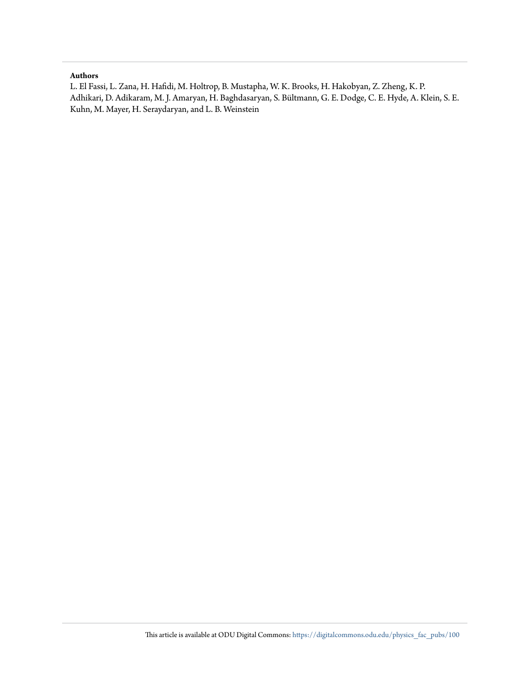#### **Authors**

L. El Fassi, L. Zana, H. Hafidi, M. Holtrop, B. Mustapha, W. K. Brooks, H. Hakobyan, Z. Zheng, K. P. Adhikari, D. Adikaram, M. J. Amaryan, H. Baghdasaryan, S. Bültmann, G. E. Dodge, C. E. Hyde, A. Klein, S. E. Kuhn, M. Mayer, H. Seraydaryan, and L. B. Weinstein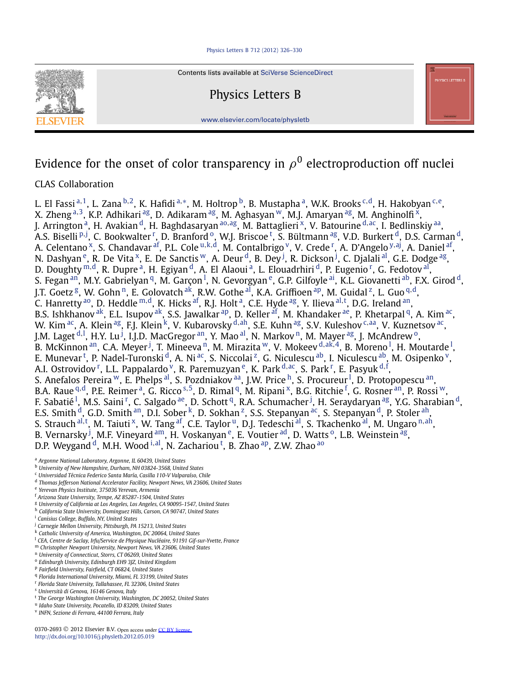

Contents lists available at [SciVerse ScienceDirect](http://www.ScienceDirect.com/)

# Physics Letters B



# Evidence for the onset of color transparency in  $\rho^0$  electroproduction off nuclei

# CLAS Collaboration

L. El Fassi <sup>a</sup>*,*[1,](#page-3-0) L. Zana <sup>b</sup>*,*[2,](#page-3-0) K. Hafidi <sup>a</sup>*,*[∗](#page-3-0), M. Holtrop b, B. Mustapha a, W.K. Brooks <sup>c</sup>*,*d, H. Hakobyan <sup>c</sup>*,*e, X. Zheng <sup>a, 3</sup>, K.P. Adhikari <sup>ag</sup>, D. Adikaram <sup>ag</sup>, M. Aghasyan <sup>w</sup>, M.J. Amaryan <sup>ag</sup>, M. Anghinolfi<sup>x</sup>, J. Arrington a, H. Avakian d, H. Baghdasaryan [ao](#page-3-0)*,*[ag,](#page-3-0) M. Battaglieri [x,](#page-3-0) V. Batourine <sup>d</sup>*,*[ac,](#page-3-0) I. Bedlinskiy [aa,](#page-3-0) A.S. Biselli <sup>p,j</sup>, C. Bookwalter <sup>r</sup>, D. Branford <sup>o</sup>, W.J. Briscoe <sup>t</sup>, S. Bültmann <sup>ag</sup>, V.D. Burkert <sup>d</sup>, D.S. Carman <sup>d</sup>, A. Celentano<sup>x</sup>, S. Chandavar <sup>af</sup>, P.L. Cole <sup>u, k, d</sup>, M. Contalbrigo <sup>v</sup>, V. Crede <sup>r</sup>, A. D'Angelo <sup>[y](#page-3-0), [aj](#page-3-0)</sup>, A. Daniel <sup>af</sup>, N. Dashyan <sup>e</sup>, R. De Vita <sup>x</sup>, E. De Sanctis <sup>w</sup>, A. Deur <sup>d</sup>, B. Dey <sup>j</sup>, R. Dickson <sup>j</sup>, C. Djalali <sup>al</sup>, G.E. Dodge <sup>ag</sup>, D. Doughty <sup>m,d</sup>, R. Dupre <sup>a</sup>, H. Egiyan <sup>d</sup>, A. El Alaoui <sup>a</sup>, L. Elouadrhiri <sup>d</sup>, P. Eugenio <sup>r</sup>, G. Fedotov <sup>al</sup>, S. Fegan <sup>an</sup>, M.Y. Gabrielyan <sup>q</sup>, M. Garçon <sup>l</sup>, N. Gevorgyan <sup>e</sup>, G.P. Gilfoyle <sup>ai</sup>, K.L. Giovanetti <sup>ab</sup>, F.X. Girod <sup>d</sup>, J.T. Goetz <sup>g</sup>, W. Gohn <sup>n</sup>, E. Golovatch <sup>ak</sup>, R.W. Gothe <sup>al</sup>, K.A. Griffioen <sup>ap</sup>, M. Guidal <sup>z</sup>, L. Guo <sup>q, d</sup>, C. Hanretty <sup>ao</sup>, D. Heddle <sup>m,d</sup>, K. Hicks <sup>af</sup>, R.J. Holt <sup>a</sup>, C.E. Hyde <sup>ag</sup>, Y. Ilieva <sup>[al](#page-3-0),t</sup>, D.G. Ireland <sup>an</sup>, B.S. Ishkhanov [ak,](#page-3-0) E.L. Isupov ak, S.S. Jawalkar [ap,](#page-3-0) D. Keller [af,](#page-3-0) M. Khandaker [ae,](#page-3-0) P. Khetarpal q, A. Kim [ac,](#page-3-0) W. Kim <sup>ac</sup>, A. Klein <sup>ag</sup>, F.J. Klein <sup>k</sup>, V. Kubarovsky <sup>d, ah</sup>, S.E. Kuhn <sup>ag</sup>, S.V. Kuleshov <sup>c, aa</sup>, V. Kuznetsov <sup>ac</sup>, J.M. Laget <sup>d, l</sup>, H.Y. Lu <sup>j</sup>, I.J.D. MacGregor <sup>an</sup>, Y. Mao <sup>al</sup>, N. Markov <sup>n</sup>, M. Mayer <sup>ag</sup>, J. McAndrew <sup>o</sup>, B. McKinnon <sup>an</sup>, C.A. Meyer <sup>j</sup>, T. Mineeva <sup>n</sup>, M. Mirazita <sup>w</sup>, V. Mokeev <sup>d,[ak](#page-3-0),4</sup>, B. Moreno <sup>l</sup>, H. Moutarde <sup>l</sup>, E. Munevar <sup>t</sup>, P. Nadel-Turonski <sup>d</sup>, A. Ni <sup>ac</sup>, S. Niccolai <sup>z</sup>, G. Niculescu <sup>ab</sup>, I. Niculescu <sup>ab</sup>, M. Osipenko <sup>v</sup>, A.I. Ostrovidov <sup>r</sup>, L.L. Pappalardo <sup>v</sup>, R. Paremuzyan <sup>e</sup>, K. Park <sup>d,ac</sup>, S. Park <sup>r</sup>, E. Pasyuk <sup>d, f</sup>, S. Anefalos Pereira <sup>w</sup>, E. Phelps <sup>al</sup>, S. Pozdniakov <sup>aa</sup>, J.W. Price <sup>h</sup>, S. Procureur <sup>l</sup>, D. Protopopescu <sup>an</sup>, B.A. Raue <sup>q, d</sup>, P.E. Reimer <sup>a</sup>, G. Ricco <sup>s, 5</sup>, D. Rimal <sup>q</sup>, M. Ripani <sup>x</sup>, B.G. Ritchie <sup>f</sup>, G. Rosner <sup>an</sup>, P. Rossi <sup>w</sup>, F. Sabatié <sup>l</sup>, M.S. Saini <sup>r</sup>, C. Salgado <sup>ae</sup>, D. Schott <sup>q</sup>, R.A. Schumacher <sup>j</sup>, H. Seraydaryan <sup>ag</sup>, Y.G. Sharabian <sup>d</sup>, E.S. Smith <sup>d</sup>, G.D. Smith <sup>an</sup>, D.I. Sober <sup>k</sup>, D. Sokhan <sup>z</sup>, S.S. Stepanyan <sup>ac</sup>, S. Stepanyan <sup>d</sup>, P. Stoler <sup>ah</sup>, S. Strauch <sup>[al](#page-3-0), t</sup>, M. Taiuti <sup>x</sup>, W. Tang <sup>af</sup>, C.E. Taylor <sup>u</sup>, D.J. Tedeschi <sup>al</sup>, S. Tkachenko <sup>al</sup>, M. Ungaro <sup>n, ah</sup>, B. Vernarsky <sup>j</sup>, M.F. Vineyard <sup>am</sup>, H. Voskanyan <sup>e</sup>, E. Voutier <sup>ad</sup>, D. Watts <sup>o</sup>, L.B. Weinstein <sup>ag</sup>, D.P. Weygand <sup>d</sup>, M.H. Wood <sup>i,al</sup>, N. Zachariou <sup>t</sup>, B. Zh[ao](#page-3-0) <sup>ap</sup>, Z.W. Zhao <sup>ao</sup>

<sup>a</sup> *Argonne National Laboratory, Argonne, IL 60439, United States*

- <sup>b</sup> *University of New Hampshire, Durham, NH 03824-3568, United States*
- <sup>c</sup> *Universidad Técnica Federico Santa María, Casilla 110-V Valparaíso, Chile*
- <sup>d</sup> *Thomas Jefferson National Accelerator Facility, Newport News, VA 23606, United States*
- <sup>e</sup> *Yerevan Physics Institute, 375036 Yerevan, Armenia*
- <sup>f</sup> *Arizona State University, Tempe, AZ 85287-1504, United States*
- <sup>g</sup> *University of California at Los Angeles, Los Angeles, CA 90095-1547, United States*
- <sup>h</sup> *California State University, Dominguez Hills, Carson, CA 90747, United States*
- <sup>i</sup> *Canisius College, Buffalo, NY, United States*
- <sup>j</sup> *Carnegie Mellon University, Pittsburgh, PA 15213, United States*
- <sup>k</sup> *Catholic University of America, Washington, DC 20064, United States*
- <sup>l</sup> *CEA, Centre de Saclay, Irfu/Service de Physique Nucléaire, 91191 Gif-sur-Yvette, France*
- <sup>m</sup> *Christopher Newport University, Newport News, VA 23606, United States*
- <sup>n</sup> *University of Connecticut, Storrs, CT 06269, United States*
- <sup>o</sup> *Edinburgh University, Edinburgh EH9 3JZ, United Kingdom*
- <sup>p</sup> *Fairfield University, Fairfield, CT 06824, United States*
- <sup>q</sup> *Florida International University, Miami, FL 33199, United States*
- <sup>r</sup> *Florida State University, Tallahassee, FL 32306, United States*
- <sup>s</sup> *Università di Genova, 16146 Genova, Italy*
- <sup>t</sup> *The George Washington University, Washington, DC 20052, United States*
- <sup>u</sup> *Idaho State University, Pocatello, ID 83209, United States*
- <sup>v</sup> *INFN, Sezione di Ferrara, 44100 Ferrara, Italy*

0370-2693 © 2012 Elsevier B.V. Open access under [CC BY license.](http://creativecommons.org/licenses/by/3.0/) <http://dx.doi.org/10.1016/j.physletb.2012.05.019>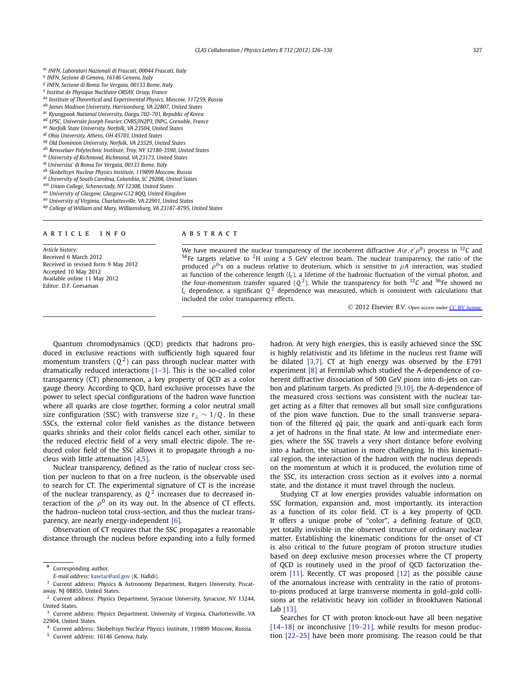<span id="page-3-0"></span><sup>w</sup> *INFN, Laboratori Nazionali di Frascati, 00044 Frascati, Italy*

- <sup>x</sup> *INFN, Sezione di Genova, 16146 Genova, Italy*
- <sup>y</sup> *INFN, Sezione di Roma Tor Vergata, 00133 Rome, Italy*
- <sup>z</sup> *Institut de Physique Nucléaire ORSAY, Orsay, France*
- aa *Institute of Theoretical and Experimental Physics, Moscow, 117259, Russia*
- ab *James Madison University, Harrisonburg, VA 22807, United States*
- ac *Kyungpook National University, Daegu 702-701, Republic of Korea*
- ad *LPSC, Universite Joseph Fourier, CNRS/IN2P3, INPG, Grenoble, France*
- ae *Norfolk State University, Norfolk, VA 23504, United States*
- af *Ohio University, Athens, OH 45701, United States*
- ag *Old Dominion University, Norfolk, VA 23529, United States*
- ah *Rensselaer Polytechnic Institute, Troy, NY 12180-3590, United States*
- ai *University of Richmond, Richmond, VA 23173, United States*
- aj *Universita' di Roma Tor Vergata, 00133 Rome, Italy*
- ak *Skobeltsyn Nuclear Physics Institute, 119899 Moscow, Russia*
- al *University of South Carolina, Columbia, SC 29208, United States*
- am *Union College, Schenectady, NY 12308, United States*
- an *University of Glasgow, Glasgow G12 8QQ, United Kingdom*
- ao *University of Virginia, Charlottesville, VA 22901, United States*
- ap *College of William and Mary, Williamsburg, VA 23187-8795, United States*

#### article info abstract

*Article history:* Received 6 March 2012 Received in revised form 9 May 2012 Accepted 10 May 2012 Available online 11 May 2012 Editor: D.F. Geesaman

We have measured the nuclear transparency of the incoherent diffractive  $A(e, e' \rho^0)$  process in <sup>12</sup>C and  $56$ Fe targets relative to <sup>2</sup>H using a 5 GeV electron beam. The nuclear transparency, the ratio of the produced *ρ*0's on a nucleus relative to deuterium, which is sensitive to *ρ A* interaction, was studied as function of the coherence length  $(l_c)$ , a lifetime of the hadronic fluctuation of the virtual photon, and the four-momentum transfer squared  $(Q^2)$ . While the transparency for both <sup>12</sup>C and <sup>56</sup>Fe showed no  $l_c$  dependence, a significant  $Q<sup>2</sup>$  dependence was measured, which is consistent with calculations that included the color transparency effects.

© 2012 Elsevier B.V. Open access under [CC BY license.](http://creativecommons.org/licenses/by/3.0/)

Quantum chromodynamics (QCD) predicts that hadrons produced in exclusive reactions with sufficiently high squared four momentum transfers  $(Q^2)$  can pass through nuclear matter with dramatically reduced interactions [\[1–3\].](#page-6-0) This is the so-called color transparency (CT) phenomenon, a key property of QCD as a color gauge theory. According to QCD, hard exclusive processes have the power to select special configurations of the hadron wave function where all quarks are close together, forming a color neutral small size configuration (SSC) with transverse size  $r<sub>⊥</sub> \sim 1/Q$ . In these SSCs, the external color field vanishes as the distance between quarks shrinks and their color fields cancel each other, similar to the reduced electric field of a very small electric dipole. The reduced color field of the SSC allows it to propagate through a nucleus with little attenuation [\[4,5\].](#page-6-0)

Nuclear transparency, defined as the ratio of nuclear cross section per nucleon to that on a free nucleon, is the observable used to search for CT. The experimental signature of CT is the increase of the nuclear transparency, as  $Q^2$  increases due to decreased interaction of the  $\rho^0$  on its way out. In the absence of CT effects, the hadron–nucleon total cross-section, and thus the nuclear transparency, are nearly energy-independent [\[6\].](#page-6-0)

Observation of CT requires that the SSC propagates a reasonable distance through the nucleus before expanding into a fully formed

\* Corresponding author.

<sup>4</sup> Current address: Skobeltsyn Nuclear Physics Institute, 119899 Moscow, Russia.

<sup>5</sup> Current address: 16146 Genova, Italy.

hadron. At very high energies, this is easily achieved since the SSC is highly relativistic and its lifetime in the nucleus rest frame will be dilated [\[3,7\].](#page-6-0) CT at high energy was observed by the E791 experiment [\[8\]](#page-6-0) at Fermilab which studied the A-dependence of coherent diffractive dissociation of 500 GeV pions into di-jets on carbon and platinum targets. As predicted [\[9,10\],](#page-6-0) the A-dependence of the measured cross sections was consistent with the nuclear target acting as a filter that removes all but small size configurations of the pion wave function. Due to the small transverse separation of the filtered  $q\bar{q}$  pair, the quark and anti-quark each form a jet of hadrons in the final state. At low and intermediate energies, where the SSC travels a very short distance before evolving into a hadron, the situation is more challenging. In this kinematical region, the interaction of the hadron with the nucleus depends on the momentum at which it is produced, the evolution time of the SSC, its interaction cross section as it evolves into a normal state, and the distance it must travel through the nucleus.

Studying CT at low energies provides valuable information on SSC formation, expansion and, most importantly, its interaction as a function of its color field. CT is a key property of QCD. It offers a unique probe of "color", a defining feature of QCD, yet totally invisible in the observed structure of ordinary nuclear matter. Establishing the kinematic conditions for the onset of CT is also critical to the future program of proton structure studies based on deep exclusive meson processes where the CT property of QCD is routinely used in the proof of QCD factorization theorem [\[11\].](#page-6-0) Recently, CT was proposed [\[12\]](#page-6-0) as the possible cause of the anomalous increase with centrality in the ratio of protonsto-pions produced at large transverse momenta in gold–gold collisions at the relativistic heavy ion collider in Brookhaven National Lab [\[13\].](#page-6-0)

Searches for CT with proton knock-out have all been negative [\[14–18\]](#page-6-0) or inconclusive [\[19–21\],](#page-6-0) while results for meson production [\[22–25\]](#page-6-0) have been more promising. The reason could be that

*E-mail address:* [kawtar@anl.gov](mailto:kawtar@anl.gov) (K. Hafidi).

Current address: Physics & Astronomy Department, Rutgers University, Piscataway, NJ 08855, United States.

<sup>2</sup> Current address: Physics Department, Syracuse University, Syracuse, NY 13244, United States.

<sup>&</sup>lt;sup>3</sup> Current address: Physics Department, University of Virginia, Charlottesville, VA 22904, United States.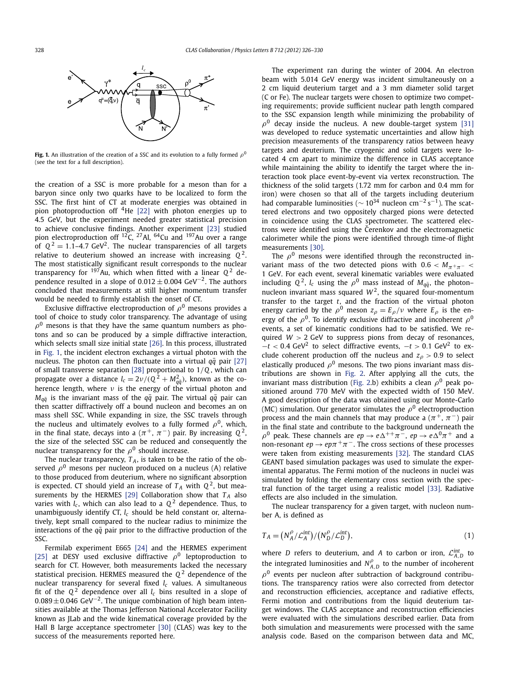

**Fig. 1.** An illustration of the creation of a SSC and its evolution to a fully formed  $\rho^0$ (see the text for a full description).

the creation of a SSC is more probable for a meson than for a baryon since only two quarks have to be localized to form the SSC. The first hint of CT at moderate energies was obtained in pion photoproduction off <sup>4</sup>He [\[22\]](#page-6-0) with photon energies up to 4.5 GeV, but the experiment needed greater statistical precision to achieve conclusive findings. Another experiment [\[23\]](#page-6-0) studied pion electroproduction off <sup>12</sup>C, <sup>27</sup>Al, <sup>64</sup>Cu and <sup>197</sup>Au over a range of  $Q^2 = 1.1$ –4.7 GeV<sup>2</sup>. The nuclear transparencies of all targets relative to deuterium showed an increase with increasing  $Q^2$ . The most statistically significant result corresponds to the nuclear transparency for  $197$ Au, which when fitted with a linear  $Q^2$  dependence resulted in a slope of 0*.*012 ± 0*.*004 GeV<sup>−</sup>2. The authors concluded that measurements at still higher momentum transfer would be needed to firmly establish the onset of CT.

Exclusive diffractive electroproduction of  $\rho^0$  mesons provides a tool of choice to study color transparency. The advantage of using  $\rho^0$  mesons is that they have the same quantum numbers as photons and so can be produced by a simple diffractive interaction, which selects small size initial state [\[26\].](#page-6-0) In this process, illustrated in Fig. 1, the incident electron exchanges a virtual photon with the nucleus. The photon can then fluctuate into a virtual  $q\bar{q}$  pair [\[27\]](#page-6-0) of small transverse separation [\[28\]](#page-6-0) proportional to 1*/Q* , which can propagate over a distance  $l_{\text{c}} = 2 \nu / (Q^2 + M_{q\bar{q}}^2)$ , known as the coherence length, where *ν* is the energy of the virtual photon and  $M_{q\bar{q}}$  is the invariant mass of the  $q\bar{q}$  pair. The virtual  $q\bar{q}$  pair can then scatter diffractively off a bound nucleon and becomes an on mass shell SSC. While expanding in size, the SSC travels through the nucleus and ultimately evolves to a fully formed  $\rho^0$ , which, in the final state, decays into a  $(\pi^+, \pi^-)$  pair. By increasing  $Q^2$ , the size of the selected SSC can be reduced and consequently the nuclear transparency for the  $\rho^0$  should increase.

The nuclear transparency,  $T_A$ , is taken to be the ratio of the observed  $\rho^0$  mesons per nucleon produced on a nucleus (A) relative to those produced from deuterium, where no significant absorption is expected. CT should yield an increase of  $T_A$  with  $Q^2$ , but mea-surements by the HERMES [\[29\]](#page-6-0) Collaboration show that  $T_A$  also varies with  $l_c$ , which can also lead to a  $Q^2$  dependence. Thus, to unambiguously identify CT, *l<sub>c</sub>* should be held constant or, alternatively, kept small compared to the nuclear radius to minimize the interactions of the  $q\bar{q}$  pair prior to the diffractive production of the SSC.

Fermilab experiment E665 [\[24\]](#page-6-0) and the HERMES experiment [\[25\]](#page-6-0) at DESY used exclusive diffractive  $\rho^0$  leptoproduction to search for CT. However, both measurements lacked the necessary statistical precision. HERMES measured the  $Q<sup>2</sup>$  dependence of the nuclear transparency for several fixed *l<sub>c</sub>* values. A simultaneous fit of the  $Q^2$  dependence over all  $l_c$  bins resulted in a slope of 0*.*089±0*.*046 GeV<sup>−</sup>2. The unique combination of high beam intensities available at the Thomas Jefferson National Accelerator Facility known as JLab and the wide kinematical coverage provided by the Hall B large acceptance spectrometer [\[30\]](#page-6-0) (CLAS) was key to the success of the measurements reported here.

The experiment ran during the winter of 2004. An electron beam with 5.014 GeV energy was incident simultaneously on a 2 cm liquid deuterium target and a 3 mm diameter solid target (C or Fe). The nuclear targets were chosen to optimize two competing requirements; provide sufficient nuclear path length compared to the SSC expansion length while minimizing the probability of  $\rho^0$  decay inside the nucleus. A new double-target system [\[31\]](#page-6-0) was developed to reduce systematic uncertainties and allow high precision measurements of the transparency ratios between heavy targets and deuterium. The cryogenic and solid targets were located 4 cm apart to minimize the difference in CLAS acceptance while maintaining the ability to identify the target where the interaction took place event-by-event via vertex reconstruction. The thickness of the solid targets (1.72 mm for carbon and 0.4 mm for iron) were chosen so that all of the targets including deuterium had comparable luminosities ( $\sim 10^{34}$  nucleon cm<sup>-2</sup> s<sup>-1</sup>). The scattered electrons and two oppositely charged pions were detected in coincidence using the CLAS spectrometer. The scattered electrons were identified using the Čerenkov and the electromagnetic calorimeter while the pions were identified through time-of flight measurements [\[30\].](#page-6-0)

The  $\rho^0$  mesons were identified through the reconstructed invariant mass of the two detected pions with  $0.6 < M_{\pi^+\pi^-} <$ 1 GeV. For each event, several kinematic variables were evaluated including  $Q^2$ , *l<sub>c</sub>* using the  $\rho^0$  mass instead of  $M_{q\bar{q}}$ , the photon– nucleon invariant mass squared  $W^2$ , the squared four-momentum transfer to the target *t*, and the fraction of the virtual photon energy carried by the  $\rho^0$  meson  $z_\rho = E_\rho/v$  where  $E_\rho$  is the energy of the  $\rho^0$ . To identify exclusive diffractive and incoherent  $\rho^0$ events, a set of kinematic conditions had to be satisfied. We required *W >* 2 GeV to suppress pions from decay of resonances,  $-t < 0.4$  GeV<sup>2</sup> to select diffractive events,  $-t > 0.1$  GeV<sup>2</sup> to exclude coherent production off the nucleus and  $z<sub>0</sub> > 0.9$  to select elastically produced  $\rho^0$  mesons. The two pions invariant mass distributions are shown in [Fig. 2.](#page-5-0) After applying all the cuts, the invariant mass distribution [\(Fig. 2.](#page-5-0)b) exhibits a clean  $\rho^0$  peak positioned around 770 MeV with the expected width of 150 MeV. A good description of the data was obtained using our Monte-Carlo (MC) simulation. Our generator simulates the  $\rho^0$  electroproduction process and the main channels that may produce a ( $\pi^+$ ,  $\pi^-$ ) pair in the final state and contribute to the background underneath the *ρ*<sup>0</sup> peak. These channels are *ep* → *e*Δ<sup>++</sup>*π*<sup>−</sup>, *ep* → *e*Δ<sup>0</sup>*π*<sup>+</sup> and a non-resonant *ep*  $\rightarrow ep\pi^{+}\pi^{-}$ . The cross sections of these processes were taken from existing measurements [\[32\].](#page-6-0) The standard CLAS GEANT based simulation packages was used to simulate the experimental apparatus. The Fermi motion of the nucleons in nuclei was simulated by folding the elementary cross section with the spectral function of the target using a realistic model [\[33\].](#page-6-0) Radiative effects are also included in the simulation.

The nuclear transparency for a given target, with nucleon number A, is defined as

$$
T_A = \left( N_A^{\rho} / \mathcal{L}_A^{\text{int}} \right) / \left( N_D^{\rho} / \mathcal{L}_D^{\text{int}} \right),\tag{1}
$$

where *D* refers to deuterium, and *A* to carbon or iron,  $\mathcal{L}_{A,D}^{int}$  to the integrated luminosities and  $N_{A,D}^{\rho}$  to the number of incoherent  $\rho^0$  events per nucleon after subtraction of background contributions. The transparency ratios were also corrected from detector and reconstruction efficiencies, acceptance and radiative effects, Fermi motion and contributions from the liquid deuterium target windows. The CLAS acceptance and reconstruction efficiencies were evaluated with the simulations described earlier. Data from both simulation and measurements were processed with the same analysis code. Based on the comparison between data and MC,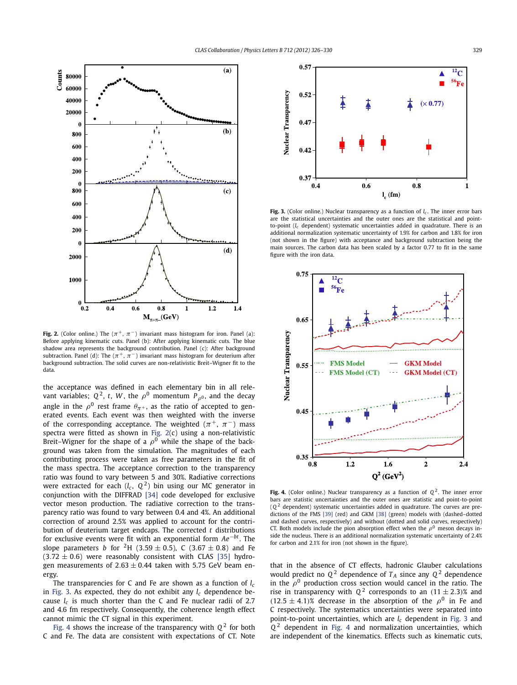<span id="page-5-0"></span>

**Fig. 2.** (Color online.) The  $(\pi^+, \pi^-)$  invariant mass histogram for iron. Panel (a): Before applying kinematic cuts. Panel (b): After applying kinematic cuts. The blue shadow area represents the background contribution. Panel (c): After background subtraction. Panel (d): The  $(\pi^+, \pi^-)$  invariant mass histogram for deuterium after background subtraction. The solid curves are non-relativistic Breit–Wigner fit to the data.

the acceptance was defined in each elementary bin in all relevant variables;  $Q^2$ , *t*, *W*, the  $\rho^0$  momentum  $P_{\rho^0}$ , and the decay angle in the  $\rho^0$  rest frame  $\theta_{\pi^+}$ , as the ratio of accepted to generated events. Each event was then weighted with the inverse of the corresponding acceptance. The weighted ( $\pi^{+}$ ,  $\pi^{-}$ ) mass spectra were fitted as shown in Fig. 2(c) using a non-relativistic Breit–Wigner for the shape of a  $\rho^0$  while the shape of the background was taken from the simulation. The magnitudes of each contributing process were taken as free parameters in the fit of the mass spectra. The acceptance correction to the transparency ratio was found to vary between 5 and 30%. Radiative corrections were extracted for each  $(l_c, Q^2)$  bin using our MC generator in conjunction with the DIFFRAD [\[34\]](#page-6-0) code developed for exclusive vector meson production. The radiative correction to the transparency ratio was found to vary between 0.4 and 4%. An additional correction of around 2.5% was applied to account for the contribution of deuterium target endcaps. The corrected *t* distributions for exclusive events were fit with an exponential form *Ae*−*bt*. The slope parameters *b* for <sup>2</sup>H (3.59  $\pm$  0.5), C (3.67  $\pm$  0.8) and Fe  $(3.72 \pm 0.6)$  were reasonably consistent with CLAS [\[35\]](#page-6-0) hydrogen measurements of  $2.63 \pm 0.44$  taken with 5.75 GeV beam energy.

The transparencies for C and Fe are shown as a function of  $l_c$ in Fig. 3. As expected, they do not exhibit any  $l_c$  dependence because  $l_c$  is much shorter than the C and Fe nuclear radii of 2.7 and 4.6 fm respectively. Consequently, the coherence length effect cannot mimic the CT signal in this experiment.

Fig. 4 shows the increase of the transparency with  $Q^2$  for both C and Fe. The data are consistent with expectations of CT. Note



Fig. 3. (Color online.) Nuclear transparency as a function of  $l_c$ . The inner error bars are the statistical uncertainties and the outer ones are the statistical and pointto-point (*lc* dependent) systematic uncertainties added in quadrature. There is an additional normalization systematic uncertainty of 1.9% for carbon and 1.8% for iron (not shown in the figure) with acceptance and background subtraction being the main sources. The carbon data has been scaled by a factor 0.77 to fit in the same figure with the iron data.



**Fig. 4.** (Color online.) Nuclear transparency as a function of  $Q^2$ . The inner error bars are statistic uncertainties and the outer ones are statistic and point-to-point  $(Q<sup>2</sup>$  dependent) systematic uncertainties added in quadrature. The curves are predictions of the FMS [\[39\]](#page-6-0) (red) and GKM [\[38\]](#page-6-0) (green) models with (dashed–dotted and dashed curves, respectively) and without (dotted and solid curves, respectively) CT. Both models include the pion absorption effect when the  $\rho^0$  meson decays inside the nucleus. There is an additional normalization systematic uncertainty of 2.4% for carbon and 2.1% for iron (not shown in the figure).

that in the absence of CT effects, hadronic Glauber calculations would predict no  $Q^2$  dependence of  $T_A$  since any  $Q^2$  dependence in the  $\rho^0$  production cross section would cancel in the ratio. The rise in transparency with  $Q^2$  corresponds to an  $(11 \pm 2.3)$ % and  $(12.5 \pm 4.1)$ % decrease in the absorption of the  $\rho^0$  in Fe and C respectively. The systematics uncertainties were separated into point-to-point uncertainties, which are  $l_c$  dependent in Fig. 3 and *Q* <sup>2</sup> dependent in Fig. 4 and normalization uncertainties, which are independent of the kinematics. Effects such as kinematic cuts,